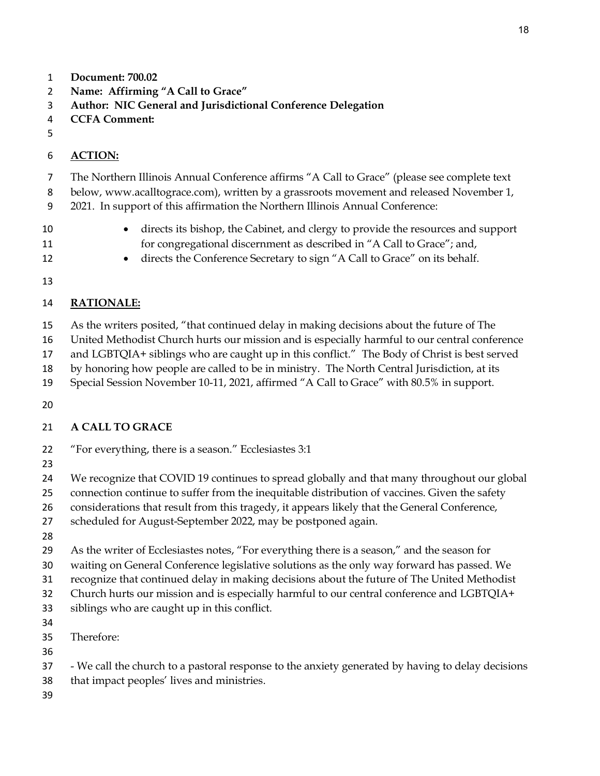- **Document: 700.02**
- **Name: Affirming "A Call to Grace"**
- **Author: NIC General and Jurisdictional Conference Delegation**
- **CCFA Comment:**
- 

#### **ACTION:**

- The Northern Illinois Annual Conference affirms "A Call to Grace" (please see complete text
- below, www.acalltograce.com), written by a grassroots movement and released November 1,
- 2021. In support of this affirmation the Northern Illinois Annual Conference:
- directs its bishop, the Cabinet, and clergy to provide the resources and support for congregational discernment as described in "A Call to Grace"; and,
- directs the Conference Secretary to sign "A Call to Grace" on its behalf.
- 

## **RATIONALE:**

- As the writers posited, "that continued delay in making decisions about the future of The
- United Methodist Church hurts our mission and is especially harmful to our central conference
- and LGBTQIA+ siblings who are caught up in this conflict." The Body of Christ is best served
- by honoring how people are called to be in ministry. The North Central Jurisdiction, at its
- Special Session November 10-11, 2021, affirmed "A Call to Grace" with 80.5% in support.
- 

### **A CALL TO GRACE**

- "For everything, there is a season." Ecclesiastes 3:1
- 
- We recognize that COVID 19 continues to spread globally and that many throughout our global
	- connection continue to suffer from the inequitable distribution of vaccines. Given the safety
	- 26 considerations that result from this tragedy, it appears likely that the General Conference,
	- scheduled for August-September 2022, may be postponed again.
	-

As the writer of Ecclesiastes notes, "For everything there is a season," and the season for

- waiting on General Conference legislative solutions as the only way forward has passed. We
- recognize that continued delay in making decisions about the future of The United Methodist

Church hurts our mission and is especially harmful to our central conference and LGBTQIA+

- siblings who are caught up in this conflict.
- 
- Therefore:
- 
- We call the church to a pastoral response to the anxiety generated by having to delay decisions
- that impact peoples' lives and ministries.
-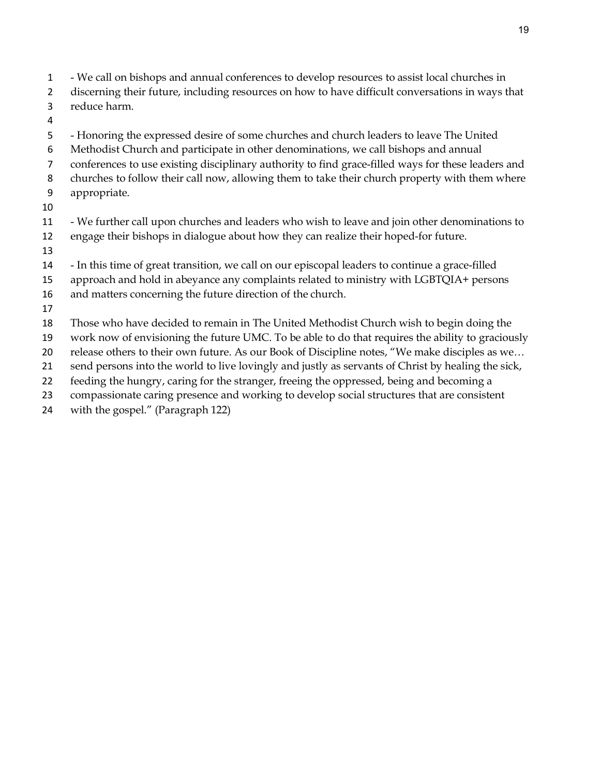- We call on bishops and annual conferences to develop resources to assist local churches in
- discerning their future, including resources on how to have difficult conversations in ways that reduce harm.
- 
- Honoring the expressed desire of some churches and church leaders to leave The United
- Methodist Church and participate in other denominations, we call bishops and annual
- conferences to use existing disciplinary authority to find grace-filled ways for these leaders and
- churches to follow their call now, allowing them to take their church property with them where
- appropriate.
- 
- We further call upon churches and leaders who wish to leave and join other denominations to engage their bishops in dialogue about how they can realize their hoped-for future.
- 
- In this time of great transition, we call on our episcopal leaders to continue a grace-filled
- approach and hold in abeyance any complaints related to ministry with LGBTQIA+ persons
- and matters concerning the future direction of the church.
- 
- Those who have decided to remain in The United Methodist Church wish to begin doing the
- work now of envisioning the future UMC. To be able to do that requires the ability to graciously
- release others to their own future. As our Book of Discipline notes, "We make disciples as we…
- send persons into the world to live lovingly and justly as servants of Christ by healing the sick,
- feeding the hungry, caring for the stranger, freeing the oppressed, being and becoming a
- compassionate caring presence and working to develop social structures that are consistent
- with the gospel." (Paragraph 122)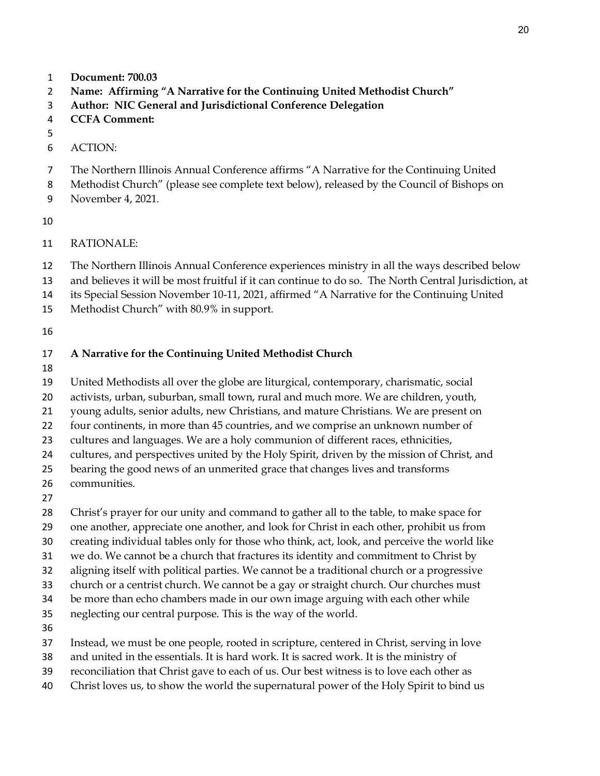- **Document: 700.03**
- **Name: Affirming "A Narrative for the Continuing United Methodist Church"**
- **Author: NIC General and Jurisdictional Conference Delegation**
- **CCFA Comment:**
- 
- ACTION:
- The Northern Illinois Annual Conference affirms "A Narrative for the Continuing United
- Methodist Church" (please see complete text below), released by the Council of Bishops on
- November 4, 2021.
- 
- RATIONALE:
- The Northern Illinois Annual Conference experiences ministry in all the ways described below
- and believes it will be most fruitful if it can continue to do so. The North Central Jurisdiction, at
- its Special Session November 10-11, 2021, affirmed "A Narrative for the Continuing United
- Methodist Church" with 80.9% in support.
- 

#### **A Narrative for the Continuing United Methodist Church**

United Methodists all over the globe are liturgical, contemporary, charismatic, social

activists, urban, suburban, small town, rural and much more. We are children, youth,

- young adults, senior adults, new Christians, and mature Christians. We are present on
- four continents, in more than 45 countries, and we comprise an unknown number of
- cultures and languages. We are a holy communion of different races, ethnicities,

cultures, and perspectives united by the Holy Spirit, driven by the mission of Christ, and

- bearing the good news of an unmerited grace that changes lives and transforms
- communities.
- 

Christ's prayer for our unity and command to gather all to the table, to make space for

- one another, appreciate one another, and look for Christ in each other, prohibit us from
- creating individual tables only for those who think, act, look, and perceive the world like
- we do. We cannot be a church that fractures its identity and commitment to Christ by
- aligning itself with political parties. We cannot be a traditional church or a progressive
- church or a centrist church. We cannot be a gay or straight church. Our churches must
- be more than echo chambers made in our own image arguing with each other while
- neglecting our central purpose. This is the way of the world.
- 
- Instead, we must be one people, rooted in scripture, centered in Christ, serving in love
- and united in the essentials. It is hard work. It is sacred work. It is the ministry of
- reconciliation that Christ gave to each of us. Our best witness is to love each other as
- Christ loves us, to show the world the supernatural power of the Holy Spirit to bind us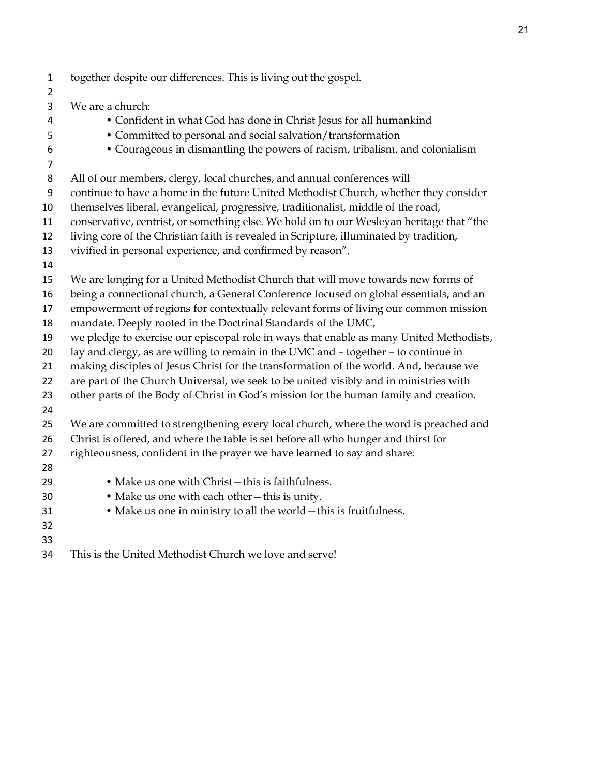- together despite our differences. This is living out the gospel. We are a church: • Confident in what God has done in Christ Jesus for all humankind • Committed to personal and social salvation/transformation • Courageous in dismantling the powers of racism, tribalism, and colonialism All of our members, clergy, local churches, and annual conferences will continue to have a home in the future United Methodist Church, whether they consider themselves liberal, evangelical, progressive, traditionalist, middle of the road, conservative, centrist, or something else. We hold on to our Wesleyan heritage that "the living core of the Christian faith is revealed in Scripture, illuminated by tradition, vivified in personal experience, and confirmed by reason". We are longing for a United Methodist Church that will move towards new forms of being a connectional church, a General Conference focused on global essentials, and an empowerment of regions for contextually relevant forms of living our common mission mandate. Deeply rooted in the Doctrinal Standards of the UMC, we pledge to exercise our episcopal role in ways that enable as many United Methodists, lay and clergy, as are willing to remain in the UMC and – together – to continue in making disciples of Jesus Christ for the transformation of the world. And, because we are part of the Church Universal, we seek to be united visibly and in ministries with other parts of the Body of Christ in God's mission for the human family and creation. We are committed to strengthening every local church, where the word is preached and Christ is offered, and where the table is set before all who hunger and thirst for righteousness, confident in the prayer we have learned to say and share: • Make us one with Christ—this is faithfulness. • Make us one with each other—this is unity. • Make us one in ministry to all the world—this is fruitfulness.
- This is the United Methodist Church we love and serve!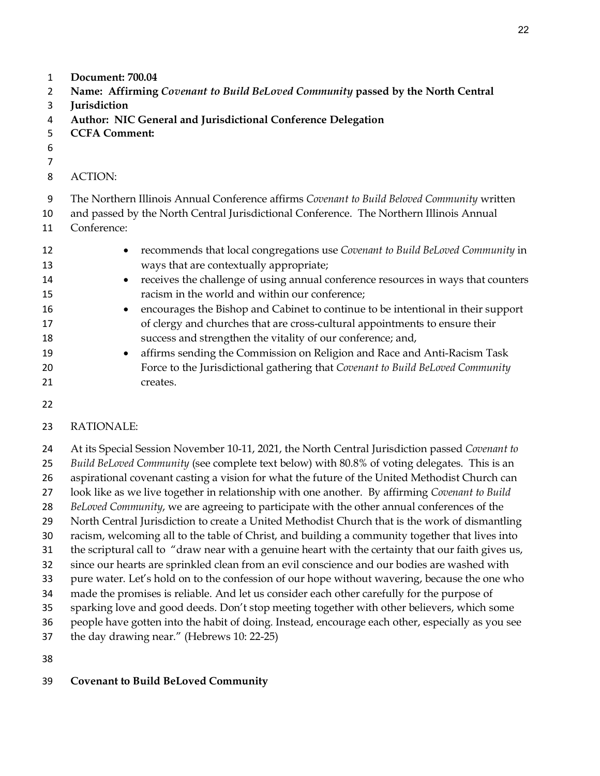- **Document: 700.04**
- **Name: Affirming** *Covenant to Build BeLoved Community* **passed by the North Central**
- **Jurisdiction**
- **Author: NIC General and Jurisdictional Conference Delegation**
- **CCFA Comment:**
- 
- 
- ACTION:

The Northern Illinois Annual Conference affirms *Covenant to Build Beloved Community* written

- and passed by the North Central Jurisdictional Conference. The Northern Illinois Annual Conference:
- 
- recommends that local congregations use *Covenant to Build BeLoved Community* in ways that are contextually appropriate; 14 • receives the challenge of using annual conference resources in ways that counters
- racism in the world and within our conference;
- encourages the Bishop and Cabinet to continue to be intentional in their support of clergy and churches that are cross-cultural appointments to ensure their success and strengthen the vitality of our conference; and,
- affirms sending the Commission on Religion and Race and Anti-Racism Task Force to the Jurisdictional gathering that *Covenant to Build BeLoved Community* 21 creates.
- 

# RATIONALE:

 At its Special Session November 10-11, 2021, the North Central Jurisdiction passed *Covenant to Build BeLoved Community* (see complete text below) with 80.8% of voting delegates. This is an aspirational covenant casting a vision for what the future of the United Methodist Church can look like as we live together in relationship with one another. By affirming *Covenant to Build BeLoved Community*, we are agreeing to participate with the other annual conferences of the North Central Jurisdiction to create a United Methodist Church that is the work of dismantling racism, welcoming all to the table of Christ, and building a community together that lives into the scriptural call to "draw near with a genuine heart with the certainty that our faith gives us, since our hearts are sprinkled clean from an evil conscience and our bodies are washed with pure water. Let's hold on to the confession of our hope without wavering, because the one who made the promises is reliable. And let us consider each other carefully for the purpose of sparking love and good deeds. Don't stop meeting together with other believers, which some people have gotten into the habit of doing. Instead, encourage each other, especially as you see the day drawing near." (Hebrews 10: 22-25)

# **Covenant to Build BeLoved Community**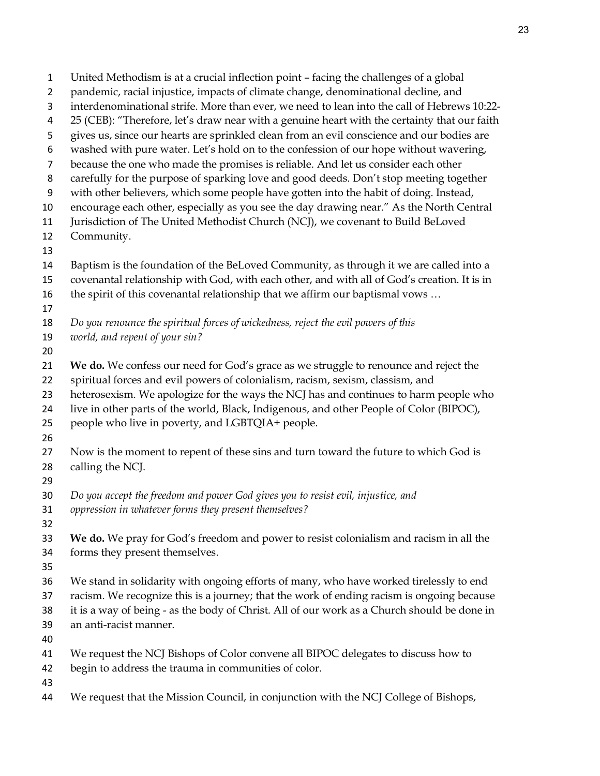| $\mathbf{1}$     | United Methodism is at a crucial inflection point - facing the challenges of a global        |
|------------------|----------------------------------------------------------------------------------------------|
| $\overline{2}$   | pandemic, racial injustice, impacts of climate change, denominational decline, and           |
| 3                | interdenominational strife. More than ever, we need to lean into the call of Hebrews 10:22-  |
| 4                | 25 (CEB): "Therefore, let's draw near with a genuine heart with the certainty that our faith |
| 5                | gives us, since our hearts are sprinkled clean from an evil conscience and our bodies are    |
| 6                | washed with pure water. Let's hold on to the confession of our hope without wavering,        |
| $\overline{7}$   | because the one who made the promises is reliable. And let us consider each other            |
| 8                | carefully for the purpose of sparking love and good deeds. Don't stop meeting together       |
| $\boldsymbol{9}$ | with other believers, which some people have gotten into the habit of doing. Instead,        |
| 10               | encourage each other, especially as you see the day drawing near." As the North Central      |
| 11               | Jurisdiction of The United Methodist Church (NCJ), we covenant to Build BeLoved              |
| 12               | Community.                                                                                   |
| 13               |                                                                                              |
| 14               | Baptism is the foundation of the BeLoved Community, as through it we are called into a       |
| 15               | covenantal relationship with God, with each other, and with all of God's creation. It is in  |
| 16               | the spirit of this covenantal relationship that we affirm our baptismal vows                 |
| 17               |                                                                                              |
| 18               | Do you renounce the spiritual forces of wickedness, reject the evil powers of this           |
| 19               | world, and repent of your sin?                                                               |
| 20               |                                                                                              |
| 21               | We do. We confess our need for God's grace as we struggle to renounce and reject the         |
| 22               | spiritual forces and evil powers of colonialism, racism, sexism, classism, and               |
| 23               | heterosexism. We apologize for the ways the NCJ has and continues to harm people who         |
| 24               | live in other parts of the world, Black, Indigenous, and other People of Color (BIPOC),      |
| 25               | people who live in poverty, and LGBTQIA+ people.                                             |
| 26               |                                                                                              |
| 27               | Now is the moment to repent of these sins and turn toward the future to which God is         |
| 28               | calling the NCJ.                                                                             |
| 29               |                                                                                              |
| 30               | Do you accept the freedom and power God gives you to resist evil, injustice, and             |
| 31               | oppression in whatever forms they present themselves?                                        |
| 32               |                                                                                              |
| 33               | We do. We pray for God's freedom and power to resist colonialism and racism in all the       |
| 34               | forms they present themselves.                                                               |
| 35               |                                                                                              |
| 36               | We stand in solidarity with ongoing efforts of many, who have worked tirelessly to end       |
| 37               | racism. We recognize this is a journey; that the work of ending racism is ongoing because    |
| 38               | it is a way of being - as the body of Christ. All of our work as a Church should be done in  |
| 39               | an anti-racist manner.                                                                       |
| 40               |                                                                                              |
| 41               | We request the NCJ Bishops of Color convene all BIPOC delegates to discuss how to            |
| 42               | begin to address the trauma in communities of color.                                         |
| 43<br>44         | We request that the Mission Council, in conjunction with the NCJ College of Bishops,         |
|                  |                                                                                              |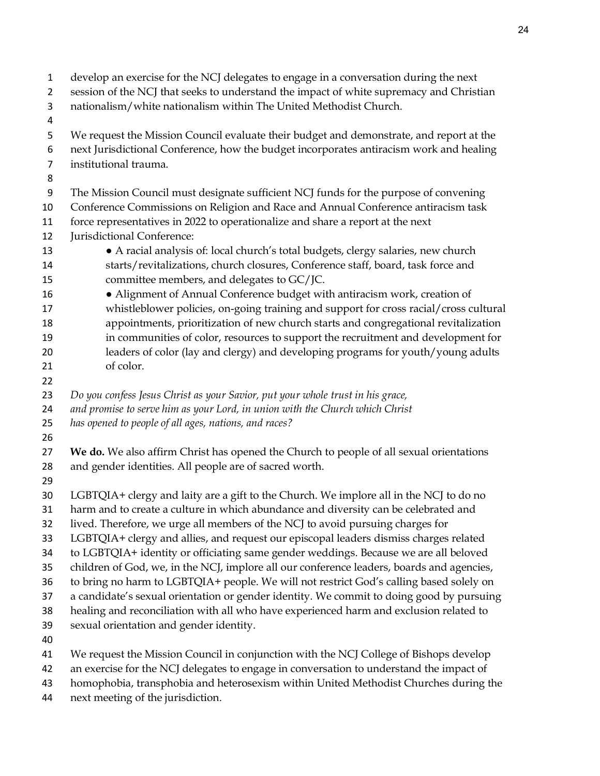- develop an exercise for the NCJ delegates to engage in a conversation during the next
- session of the NCJ that seeks to understand the impact of white supremacy and Christian
- nationalism/white nationalism within The United Methodist Church.
- 
- We request the Mission Council evaluate their budget and demonstrate, and report at the
- next Jurisdictional Conference, how the budget incorporates antiracism work and healing
- institutional trauma.
- 

The Mission Council must designate sufficient NCJ funds for the purpose of convening

- Conference Commissions on Religion and Race and Annual Conference antiracism task force representatives in 2022 to operationalize and share a report at the next
- Jurisdictional Conference:
- A racial analysis of: local church's total budgets, clergy salaries, new church starts/revitalizations, church closures, Conference staff, board, task force and committee members, and delegates to GC/JC.
- 16 Alignment of Annual Conference budget with antiracism work, creation of whistleblower policies, on-going training and support for cross racial/cross cultural appointments, prioritization of new church starts and congregational revitalization in communities of color, resources to support the recruitment and development for leaders of color (lay and clergy) and developing programs for youth/young adults of color.
- 

*Do you confess Jesus Christ as your Savior, put your whole trust in his grace,* 

- *and promise to serve him as your Lord, in union with the Church which Christ*
- *has opened to people of all ages, nations, and races?*
- 

 **We do.** We also affirm Christ has opened the Church to people of all sexual orientations and gender identities. All people are of sacred worth.

LGBTQIA+ clergy and laity are a gift to the Church. We implore all in the NCJ to do no

- harm and to create a culture in which abundance and diversity can be celebrated and
- lived. Therefore, we urge all members of the NCJ to avoid pursuing charges for
- LGBTQIA+ clergy and allies, and request our episcopal leaders dismiss charges related
- to LGBTQIA+ identity or officiating same gender weddings. Because we are all beloved
- children of God, we, in the NCJ, implore all our conference leaders, boards and agencies,
- to bring no harm to LGBTQIA+ people. We will not restrict God's calling based solely on
- a candidate's sexual orientation or gender identity. We commit to doing good by pursuing
- healing and reconciliation with all who have experienced harm and exclusion related to
- sexual orientation and gender identity.
- 
- We request the Mission Council in conjunction with the NCJ College of Bishops develop
- an exercise for the NCJ delegates to engage in conversation to understand the impact of
- homophobia, transphobia and heterosexism within United Methodist Churches during the
- next meeting of the jurisdiction.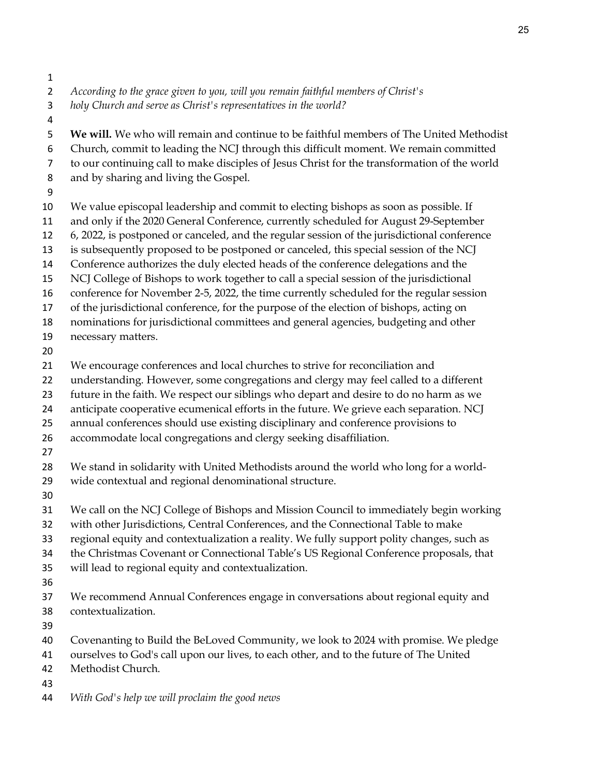- 
- *According to the grace given to you, will you remain faithful members of Christ's*
- *holy Church and serve as Christ's representatives in the world?*
- 

**We will.** We who will remain and continue to be faithful members of The United Methodist

- Church, commit to leading the NCJ through this difficult moment. We remain committed
- to our continuing call to make disciples of Jesus Christ for the transformation of the world
- and by sharing and living the Gospel.
- 
- We value episcopal leadership and commit to electing bishops as soon as possible. If
- and only if the 2020 General Conference, currently scheduled for August 29-September
- 6, 2022, is postponed or canceled, and the regular session of the jurisdictional conference
- is subsequently proposed to be postponed or canceled, this special session of the NCJ
- Conference authorizes the duly elected heads of the conference delegations and the
- NCJ College of Bishops to work together to call a special session of the jurisdictional
- conference for November 2-5, 2022, the time currently scheduled for the regular session
- of the jurisdictional conference, for the purpose of the election of bishops, acting on
- nominations for jurisdictional committees and general agencies, budgeting and other
- necessary matters.
- 
- We encourage conferences and local churches to strive for reconciliation and
- understanding. However, some congregations and clergy may feel called to a different
- future in the faith. We respect our siblings who depart and desire to do no harm as we
- anticipate cooperative ecumenical efforts in the future. We grieve each separation. NCJ
- annual conferences should use existing disciplinary and conference provisions to
- accommodate local congregations and clergy seeking disaffiliation.
- 
- We stand in solidarity with United Methodists around the world who long for a world-
- wide contextual and regional denominational structure.
- 
- We call on the NCJ College of Bishops and Mission Council to immediately begin working
- with other Jurisdictions, Central Conferences, and the Connectional Table to make
- regional equity and contextualization a reality. We fully support polity changes, such as
- the Christmas Covenant or Connectional Table's US Regional Conference proposals, that
- will lead to regional equity and contextualization.
- 
- We recommend Annual Conferences engage in conversations about regional equity and contextualization.
- 
- Covenanting to Build the BeLoved Community, we look to 2024 with promise. We pledge
- ourselves to God's call upon our lives, to each other, and to the future of The United
- Methodist Church.
- 
- *With God's help we will proclaim the good news*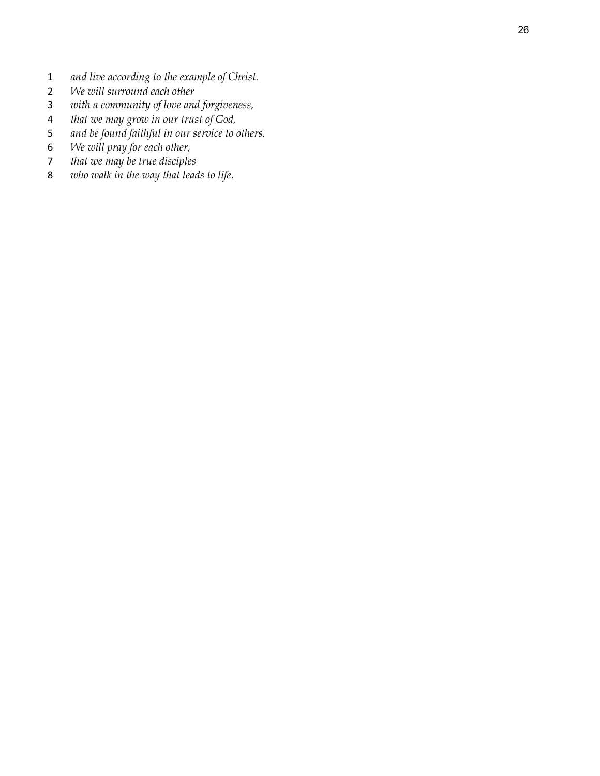- *and live according to the example of Christ.*
- *We will surround each other*
- *with a community of love and forgiveness,*
- *that we may grow in our trust of God,*
- *and be found faithful in our service to others.*
- *We will pray for each other,*
- *that we may be true disciples*
- *who walk in the way that leads to life.*